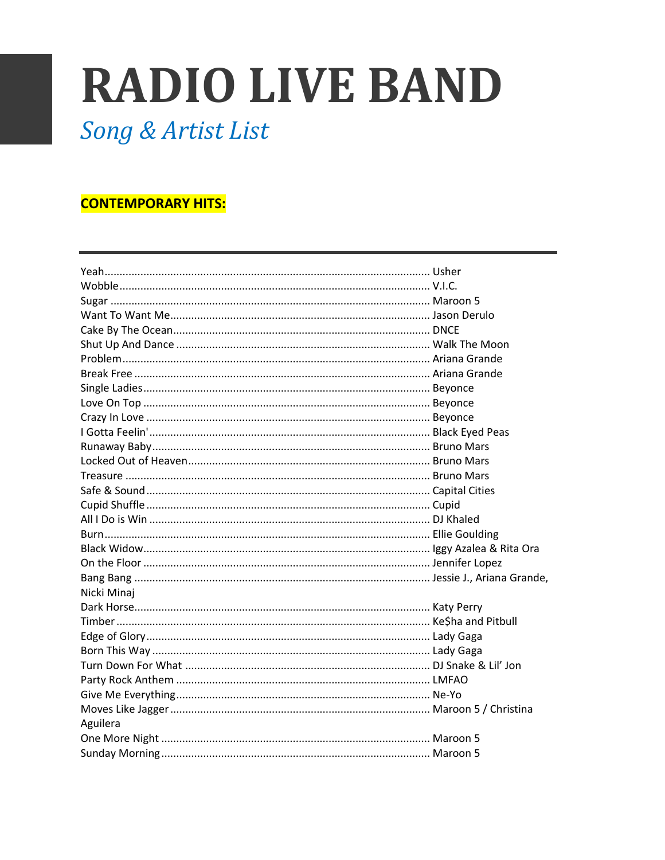# **RADIO LIVE BAND**

Song & Artist List

#### **CONTEMPORARY HITS:**

| Nicki Minaj |  |
|-------------|--|
|             |  |
|             |  |
|             |  |
|             |  |
|             |  |
|             |  |
|             |  |
|             |  |
| Aguilera    |  |
|             |  |
|             |  |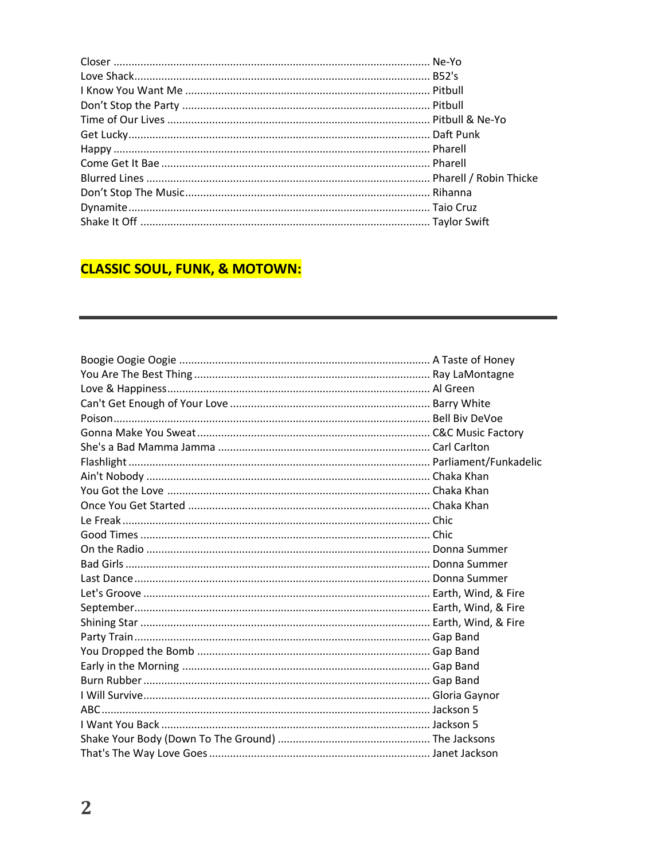## **CLASSIC SOUL, FUNK, & MOTOWN:**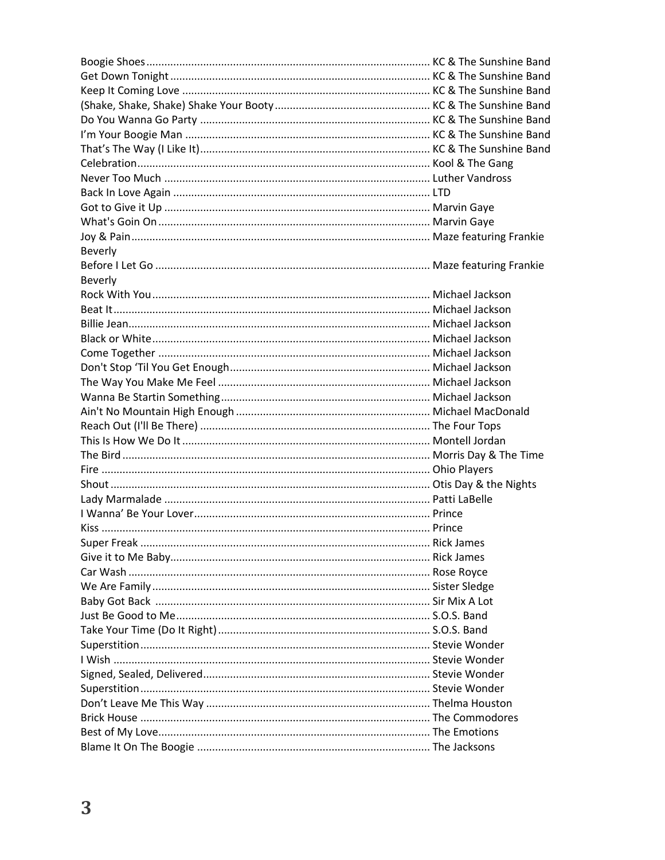| Beverly |  |  |
|---------|--|--|
|         |  |  |
| Beverly |  |  |
|         |  |  |
|         |  |  |
|         |  |  |
|         |  |  |
|         |  |  |
|         |  |  |
|         |  |  |
|         |  |  |
|         |  |  |
|         |  |  |
|         |  |  |
|         |  |  |
|         |  |  |
|         |  |  |
|         |  |  |
|         |  |  |
|         |  |  |
|         |  |  |
|         |  |  |
|         |  |  |
|         |  |  |
|         |  |  |
|         |  |  |
|         |  |  |
|         |  |  |
|         |  |  |
|         |  |  |
|         |  |  |
|         |  |  |
|         |  |  |
|         |  |  |
|         |  |  |
|         |  |  |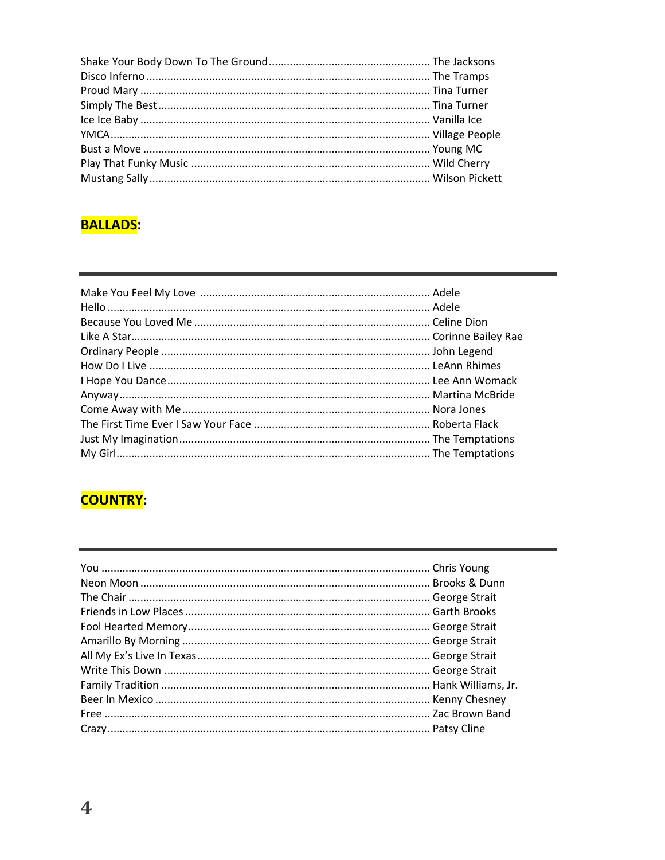#### **BALLADS:**

#### **COUNTRY:**